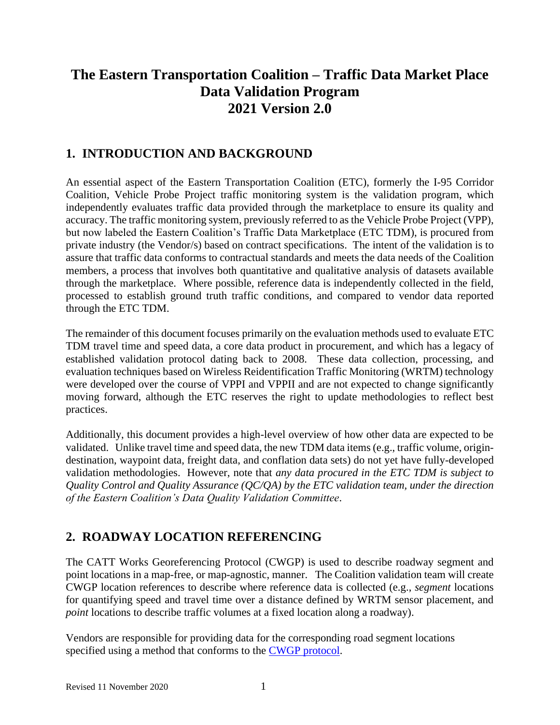# **The Eastern Transportation Coalition – Traffic Data Market Place Data Validation Program 2021 Version 2.0**

## **1. INTRODUCTION AND BACKGROUND**

An essential aspect of the Eastern Transportation Coalition (ETC), formerly the I-95 Corridor Coalition, Vehicle Probe Project traffic monitoring system is the validation program, which independently evaluates traffic data provided through the marketplace to ensure its quality and accuracy. The traffic monitoring system, previously referred to as the Vehicle Probe Project (VPP), but now labeled the Eastern Coalition's Traffic Data Marketplace (ETC TDM), is procured from private industry (the Vendor/s) based on contract specifications. The intent of the validation is to assure that traffic data conforms to contractual standards and meets the data needs of the Coalition members, a process that involves both quantitative and qualitative analysis of datasets available through the marketplace. Where possible, reference data is independently collected in the field, processed to establish ground truth traffic conditions, and compared to vendor data reported through the ETC TDM.

The remainder of this document focuses primarily on the evaluation methods used to evaluate ETC TDM travel time and speed data, a core data product in procurement, and which has a legacy of established validation protocol dating back to 2008. These data collection, processing, and evaluation techniques based on Wireless Reidentification Traffic Monitoring (WRTM) technology were developed over the course of VPPI and VPPII and are not expected to change significantly moving forward, although the ETC reserves the right to update methodologies to reflect best practices.

Additionally, this document provides a high-level overview of how other data are expected to be validated. Unlike travel time and speed data, the new TDM data items (e.g., traffic volume, origindestination, waypoint data, freight data, and conflation data sets) do not yet have fully-developed validation methodologies. However, note that *any data procured in the ETC TDM is subject to Quality Control and Quality Assurance (QC/QA) by the ETC validation team, under the direction of the Eastern Coalition's Data Quality Validation Committee*.

# **2. ROADWAY LOCATION REFERENCING**

The CATT Works Georeferencing Protocol (CWGP) is used to describe roadway segment and point locations in a map-free, or map-agnostic, manner. The Coalition validation team will create CWGP location references to describe where reference data is collected (e.g., *segment* locations for quantifying speed and travel time over a distance defined by WRTM sensor placement, and *point* locations to describe traffic volumes at a fixed location along a roadway).

Vendors are responsible for providing data for the corresponding road segment locations specified using a method that conforms to the CWGP [protocol.](https://tetcoalition.org/wp-content/uploads/2015/02/2021-ETC-TDM-CWGP_V1.10-FINAL.pdf)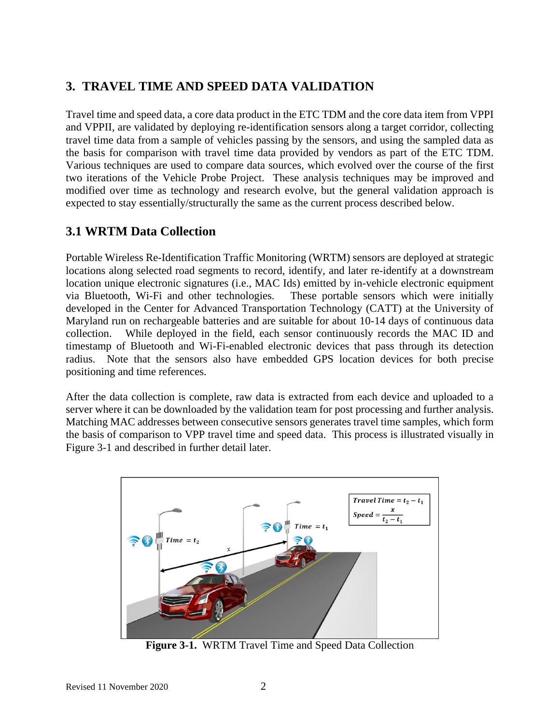# **3. TRAVEL TIME AND SPEED DATA VALIDATION**

Travel time and speed data, a core data product in the ETC TDM and the core data item from VPPI and VPPII, are validated by deploying re-identification sensors along a target corridor, collecting travel time data from a sample of vehicles passing by the sensors, and using the sampled data as the basis for comparison with travel time data provided by vendors as part of the ETC TDM. Various techniques are used to compare data sources, which evolved over the course of the first two iterations of the Vehicle Probe Project. These analysis techniques may be improved and modified over time as technology and research evolve, but the general validation approach is expected to stay essentially/structurally the same as the current process described below.

## **3.1 WRTM Data Collection**

Portable Wireless Re-Identification Traffic Monitoring (WRTM) sensors are deployed at strategic locations along selected road segments to record, identify, and later re-identify at a downstream location unique electronic signatures (i.e., MAC Ids) emitted by in-vehicle electronic equipment via Bluetooth, Wi-Fi and other technologies. These portable sensors which were initially developed in the Center for Advanced Transportation Technology (CATT) at the University of Maryland run on rechargeable batteries and are suitable for about 10-14 days of continuous data collection. While deployed in the field, each sensor continuously records the MAC ID and timestamp of Bluetooth and Wi-Fi-enabled electronic devices that pass through its detection radius. Note that the sensors also have embedded GPS location devices for both precise positioning and time references.

After the data collection is complete, raw data is extracted from each device and uploaded to a server where it can be downloaded by the validation team for post processing and further analysis. Matching MAC addresses between consecutive sensors generates travel time samples, which form the basis of comparison to VPP travel time and speed data. This process is illustrated visually in Figure 3-1 and described in further detail later.



**Figure 3-1.** WRTM Travel Time and Speed Data Collection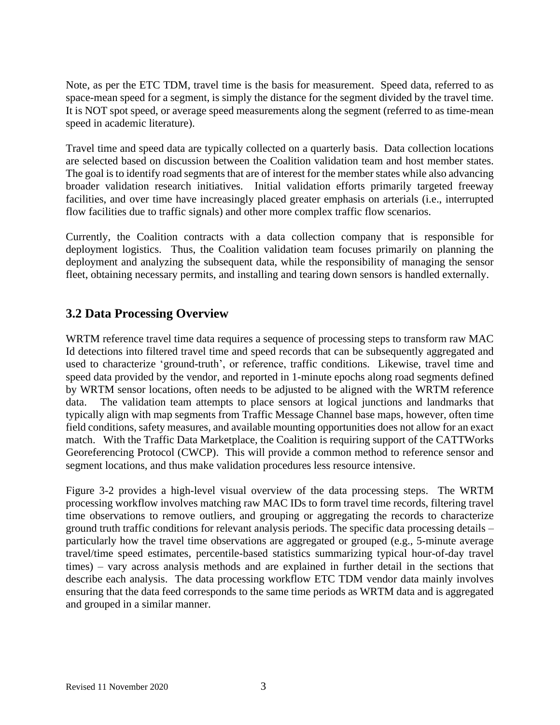Note, as per the ETC TDM, travel time is the basis for measurement. Speed data, referred to as space-mean speed for a segment, is simply the distance for the segment divided by the travel time. It is NOT spot speed, or average speed measurements along the segment (referred to as time-mean speed in academic literature).

Travel time and speed data are typically collected on a quarterly basis. Data collection locations are selected based on discussion between the Coalition validation team and host member states. The goal is to identify road segments that are of interest for the member states while also advancing broader validation research initiatives. Initial validation efforts primarily targeted freeway facilities, and over time have increasingly placed greater emphasis on arterials (i.e., interrupted flow facilities due to traffic signals) and other more complex traffic flow scenarios.

Currently, the Coalition contracts with a data collection company that is responsible for deployment logistics. Thus, the Coalition validation team focuses primarily on planning the deployment and analyzing the subsequent data, while the responsibility of managing the sensor fleet, obtaining necessary permits, and installing and tearing down sensors is handled externally.

# **3.2 Data Processing Overview**

WRTM reference travel time data requires a sequence of processing steps to transform raw MAC Id detections into filtered travel time and speed records that can be subsequently aggregated and used to characterize 'ground-truth', or reference, traffic conditions. Likewise, travel time and speed data provided by the vendor, and reported in 1-minute epochs along road segments defined by WRTM sensor locations, often needs to be adjusted to be aligned with the WRTM reference data. The validation team attempts to place sensors at logical junctions and landmarks that typically align with map segments from Traffic Message Channel base maps, however, often time field conditions, safety measures, and available mounting opportunities does not allow for an exact match. With the Traffic Data Marketplace, the Coalition is requiring support of the CATTWorks Georeferencing Protocol (CWCP). This will provide a common method to reference sensor and segment locations, and thus make validation procedures less resource intensive.

Figure 3-2 provides a high-level visual overview of the data processing steps. The WRTM processing workflow involves matching raw MAC IDs to form travel time records, filtering travel time observations to remove outliers, and grouping or aggregating the records to characterize ground truth traffic conditions for relevant analysis periods. The specific data processing details – particularly how the travel time observations are aggregated or grouped (e.g., 5-minute average travel/time speed estimates, percentile-based statistics summarizing typical hour-of-day travel times) – vary across analysis methods and are explained in further detail in the sections that describe each analysis. The data processing workflow ETC TDM vendor data mainly involves ensuring that the data feed corresponds to the same time periods as WRTM data and is aggregated and grouped in a similar manner.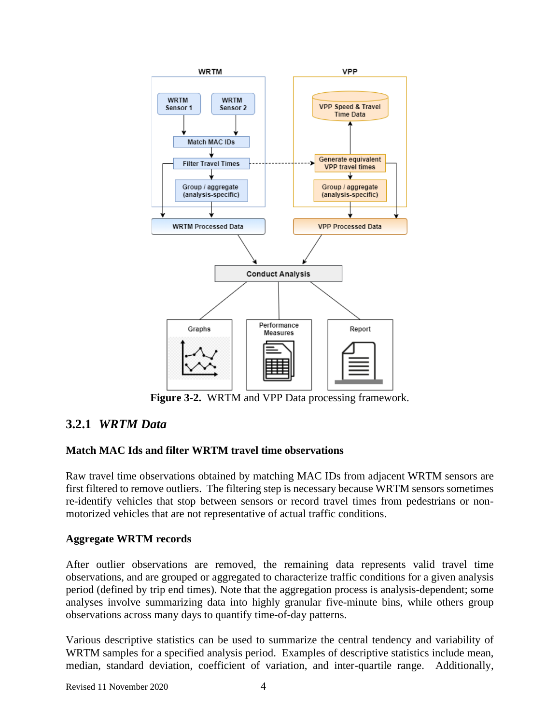

**Figure 3-2.** WRTM and VPP Data processing framework.

# **3.2.1** *WRTM Data*

## **Match MAC Ids and filter WRTM travel time observations**

Raw travel time observations obtained by matching MAC IDs from adjacent WRTM sensors are first filtered to remove outliers. The filtering step is necessary because WRTM sensors sometimes re-identify vehicles that stop between sensors or record travel times from pedestrians or nonmotorized vehicles that are not representative of actual traffic conditions.

## **Aggregate WRTM records**

After outlier observations are removed, the remaining data represents valid travel time observations, and are grouped or aggregated to characterize traffic conditions for a given analysis period (defined by trip end times). Note that the aggregation process is analysis-dependent; some analyses involve summarizing data into highly granular five-minute bins, while others group observations across many days to quantify time-of-day patterns.

Various descriptive statistics can be used to summarize the central tendency and variability of WRTM samples for a specified analysis period. Examples of descriptive statistics include mean, median, standard deviation, coefficient of variation, and inter-quartile range. Additionally,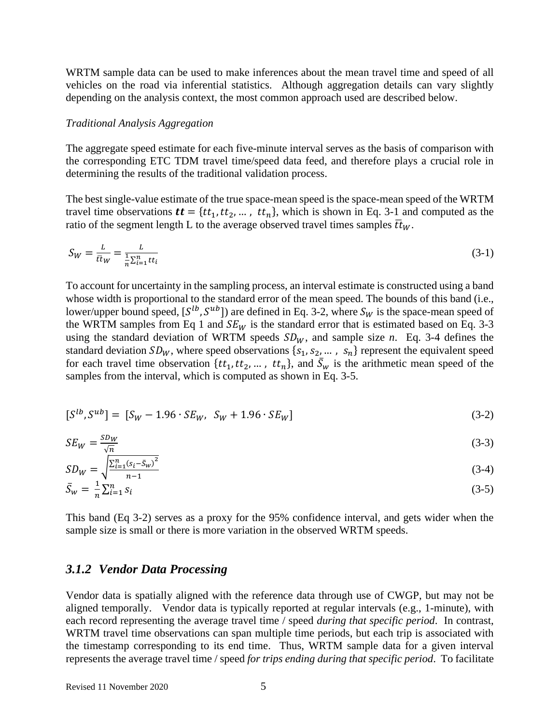WRTM sample data can be used to make inferences about the mean travel time and speed of all vehicles on the road via inferential statistics. Although aggregation details can vary slightly depending on the analysis context, the most common approach used are described below.

#### *Traditional Analysis Aggregation*

The aggregate speed estimate for each five-minute interval serves as the basis of comparison with the corresponding ETC TDM travel time/speed data feed, and therefore plays a crucial role in determining the results of the traditional validation process.

The best single-value estimate of the true space-mean speed is the space-mean speed of the WRTM travel time observations  $\boldsymbol{t}t = \{tt_1, tt_2, ...$ ,  $tt_n\}$ , which is shown in Eq. 3-1 and computed as the ratio of the segment length L to the average observed travel times samples  $\bar{t}t_W$ .

$$
S_W = \frac{L}{\bar{t}t_W} = \frac{L}{\frac{1}{n}\sum_{i=1}^n t t_i}
$$
\n(3-1)

To account for uncertainty in the sampling process, an interval estimate is constructed using a band whose width is proportional to the standard error of the mean speed. The bounds of this band (i.e., lower/upper bound speed,  $[S^{lb}, S^{ub}]$ ) are defined in Eq. 3-2, where  $S_W$  is the space-mean speed of the WRTM samples from Eq 1 and  $SE_W$  is the standard error that is estimated based on Eq. 3-3 using the standard deviation of WRTM speeds  $SD_W$ , and sample size *n*. Eq. 3-4 defines the standard deviation  $SD_W$ , where speed observations  $\{s_1, s_2, \dots, s_n\}$  represent the equivalent speed for each travel time observation  $\{tt_1, tt_2, \dots, tt_n\}$ , and  $\bar{S}_w$  is the arithmetic mean speed of the samples from the interval, which is computed as shown in Eq. 3-5.

$$
[S^{lb}, S^{ub}] = [S_W - 1.96 \cdot SE_W, S_W + 1.96 \cdot SE_W]
$$
\n(3-2)

$$
SE_W = \frac{SD_W}{\sqrt{n}}\tag{3-3}
$$

$$
SD_W = \sqrt{\frac{\sum_{i=1}^{n} (s_i - \bar{S}_w)^2}{n - 1}}
$$
(3-4)

$$
\bar{S}_w = \frac{1}{n} \sum_{i=1}^n s_i \tag{3-5}
$$

This band (Eq 3-2) serves as a proxy for the 95% confidence interval, and gets wider when the sample size is small or there is more variation in the observed WRTM speeds.

#### *3.1.2 Vendor Data Processing*

Vendor data is spatially aligned with the reference data through use of CWGP, but may not be aligned temporally. Vendor data is typically reported at regular intervals (e.g., 1-minute), with each record representing the average travel time / speed *during that specific period*. In contrast, WRTM travel time observations can span multiple time periods, but each trip is associated with the timestamp corresponding to its end time. Thus, WRTM sample data for a given interval represents the average travel time / speed *for trips ending during that specific period*. To facilitate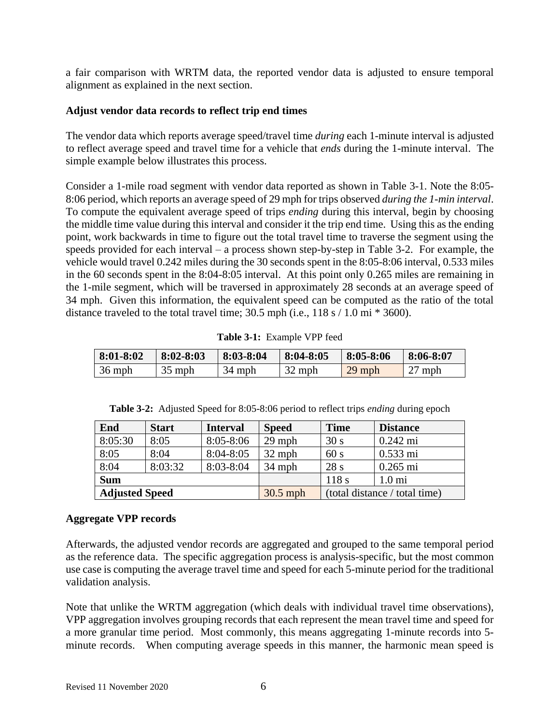a fair comparison with WRTM data, the reported vendor data is adjusted to ensure temporal alignment as explained in the next section.

## **Adjust vendor data records to reflect trip end times**

The vendor data which reports average speed/travel time *during* each 1-minute interval is adjusted to reflect average speed and travel time for a vehicle that *ends* during the 1-minute interval. The simple example below illustrates this process.

Consider a 1-mile road segment with vendor data reported as shown in Table 3-1. Note the 8:05- 8:06 period, which reports an average speed of 29 mph for trips observed *during the 1-min interval*. To compute the equivalent average speed of trips *ending* during this interval, begin by choosing the middle time value during this interval and consider it the trip end time. Using this as the ending point, work backwards in time to figure out the total travel time to traverse the segment using the speeds provided for each interval – a process shown step-by-step in Table 3-2. For example, the vehicle would travel 0.242 miles during the 30 seconds spent in the 8:05-8:06 interval, 0.533 miles in the 60 seconds spent in the 8:04-8:05 interval. At this point only 0.265 miles are remaining in the 1-mile segment, which will be traversed in approximately 28 seconds at an average speed of 34 mph. Given this information, the equivalent speed can be computed as the ratio of the total distance traveled to the total travel time;  $30.5$  mph (i.e.,  $118 \text{ s} / 1.0 \text{ mi} * 3600$ ).

|  | Table 3-1: Example VPP feed |
|--|-----------------------------|
|--|-----------------------------|

| $\mid 8:01 - 8:02$ | $8:02 - 8:03$ | $\vert 8:03-8:04 \vert$ | $\parallel$ 8:04-8:05 | $8:05 - 8:06$ | - 8:06-8:07 |
|--------------------|---------------|-------------------------|-----------------------|---------------|-------------|
| $36$ mph           | $35$ mph      | 34 mph                  | $32$ mph              | $29$ mph      | $27$ mph    |

| End                   | <b>Start</b> | <b>Interval</b> | <b>Speed</b>                  | <b>Time</b>     | <b>Distance</b>    |
|-----------------------|--------------|-----------------|-------------------------------|-----------------|--------------------|
| 8:05:30               | 8:05         | $8:05 - 8:06$   | $29$ mph                      | 30 <sub>s</sub> | $0.242 \text{ mi}$ |
| 8:05                  | 8:04         | $8:04 - 8:05$   | $32$ mph                      | 60 s            | $0.533 \text{ mi}$ |
| 8:04                  | 8:03:32      | 8:03-8:04       | $34$ mph                      | 28s             | $0.265$ mi         |
| <b>Sum</b>            |              |                 |                               | 118s            | $1.0 \text{ mi}$   |
| <b>Adjusted Speed</b> |              | $30.5$ mph      | (total distance / total time) |                 |                    |

| Table 3-2: Adjusted Speed for 8:05-8:06 period to reflect trips <i>ending</i> during epoch |  |  |  |  |
|--------------------------------------------------------------------------------------------|--|--|--|--|
|                                                                                            |  |  |  |  |

### **Aggregate VPP records**

Afterwards, the adjusted vendor records are aggregated and grouped to the same temporal period as the reference data. The specific aggregation process is analysis-specific, but the most common use case is computing the average travel time and speed for each 5-minute period for the traditional validation analysis.

Note that unlike the WRTM aggregation (which deals with individual travel time observations), VPP aggregation involves grouping records that each represent the mean travel time and speed for a more granular time period. Most commonly, this means aggregating 1-minute records into 5 minute records. When computing average speeds in this manner, the harmonic mean speed is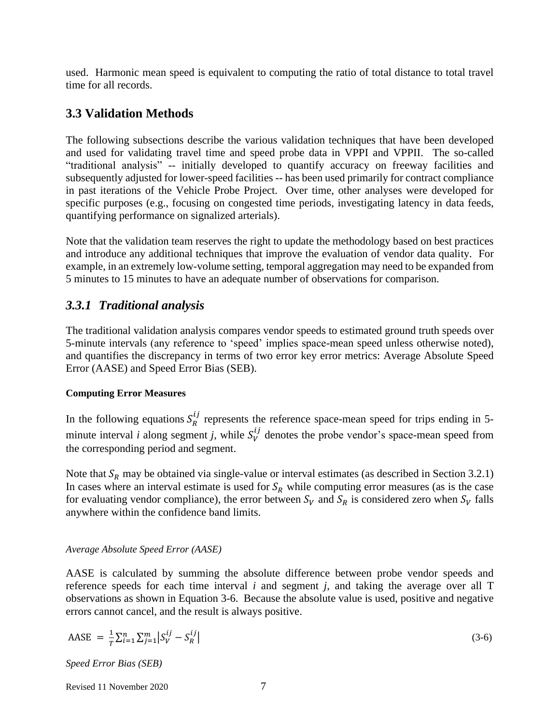used. Harmonic mean speed is equivalent to computing the ratio of total distance to total travel time for all records.

## **3.3 Validation Methods**

The following subsections describe the various validation techniques that have been developed and used for validating travel time and speed probe data in VPPI and VPPII. The so-called "traditional analysis" -- initially developed to quantify accuracy on freeway facilities and subsequently adjusted for lower-speed facilities -- has been used primarily for contract compliance in past iterations of the Vehicle Probe Project. Over time, other analyses were developed for specific purposes (e.g., focusing on congested time periods, investigating latency in data feeds, quantifying performance on signalized arterials).

Note that the validation team reserves the right to update the methodology based on best practices and introduce any additional techniques that improve the evaluation of vendor data quality. For example, in an extremely low-volume setting, temporal aggregation may need to be expanded from 5 minutes to 15 minutes to have an adequate number of observations for comparison.

## *3.3.1 Traditional analysis*

The traditional validation analysis compares vendor speeds to estimated ground truth speeds over 5-minute intervals (any reference to 'speed' implies space-mean speed unless otherwise noted), and quantifies the discrepancy in terms of two error key error metrics: Average Absolute Speed Error (AASE) and Speed Error Bias (SEB).

### **Computing Error Measures**

In the following equations  $S_R^{ij}$  represents the reference space-mean speed for trips ending in 5minute interval *i* along segment *j*, while  $S_V^{ij}$  denotes the probe vendor's space-mean speed from the corresponding period and segment.

Note that  $S_R$  may be obtained via single-value or interval estimates (as described in Section 3.2.1) In cases where an interval estimate is used for  $S_R$  while computing error measures (as is the case for evaluating vendor compliance), the error between  $S_V$  and  $S_R$  is considered zero when  $S_V$  falls anywhere within the confidence band limits.

### *Average Absolute Speed Error (AASE)*

AASE is calculated by summing the absolute difference between probe vendor speeds and reference speeds for each time interval *i* and segment *j*, and taking the average over all T observations as shown in Equation 3-6. Because the absolute value is used, positive and negative errors cannot cancel, and the result is always positive.

$$
AASE = \frac{1}{T} \sum_{i=1}^{n} \sum_{j=1}^{m} |S_V^{ij} - S_R^{ij}|
$$
\n(3-6)

*Speed Error Bias (SEB)*

Revised 11 November 2020 7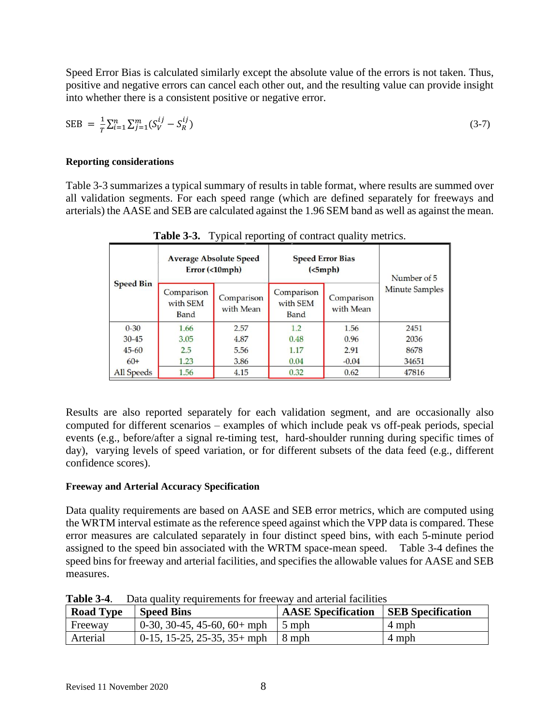Speed Error Bias is calculated similarly except the absolute value of the errors is not taken. Thus, positive and negative errors can cancel each other out, and the resulting value can provide insight into whether there is a consistent positive or negative error.

$$
SEB = \frac{1}{T} \sum_{i=1}^{n} \sum_{j=1}^{m} (S_V^{ij} - S_R^{ij})
$$
\n(3-7)

### **Reporting considerations**

Table 3-3 summarizes a typical summary of results in table format, where results are summed over all validation segments. For each speed range (which are defined separately for freeways and arterials) the AASE and SEB are calculated against the 1.96 SEM band as well as against the mean.

| <b>Speed Bin</b> |                                | <b>Average Absolute Speed</b><br>Error (<10mph) |                                | <b>Speed Error Bias</b><br>(<5 mph) | Number of 5           |
|------------------|--------------------------------|-------------------------------------------------|--------------------------------|-------------------------------------|-----------------------|
|                  | Comparison<br>with SEM<br>Band | Comparison<br>with Mean                         | Comparison<br>with SEM<br>Band | Comparison<br>with Mean             | <b>Minute Samples</b> |
| $0 - 30$         | 1.66                           | 2.57                                            | 1.2                            | 1.56                                | 2451                  |
| $30 - 45$        | 3.05                           | 4.87                                            | 0.48                           | 0.96                                | 2036                  |
| $45 - 60$        | 2.5                            | 5.56                                            | 1.17                           | 2.91                                | 8678                  |
| $60+$            | 1.23                           | 3.86                                            | 0.04                           | $-0.04$                             | 34651                 |
| All Speeds       | 1.56                           | 4.15                                            | 0.32                           | 0.62                                | 47816                 |

**Table 3-3.** Typical reporting of contract quality metrics.

Results are also reported separately for each validation segment, and are occasionally also computed for different scenarios – examples of which include peak vs off-peak periods, special events (e.g., before/after a signal re-timing test, hard-shoulder running during specific times of day), varying levels of speed variation, or for different subsets of the data feed (e.g., different confidence scores).

## **Freeway and Arterial Accuracy Specification**

Data quality requirements are based on AASE and SEB error metrics, which are computed using the WRTM interval estimate as the reference speed against which the VPP data is compared. These error measures are calculated separately in four distinct speed bins, with each 5-minute period assigned to the speed bin associated with the WRTM space-mean speed. Table 3-4 defines the speed bins for freeway and arterial facilities, and specifies the allowable values for AASE and SEB measures.

| <b>Road Type</b> | <b>Speed Bins</b>                      | <b>AASE</b> Specification | <b>SEB</b> Specification |
|------------------|----------------------------------------|---------------------------|--------------------------|
| Freeway          | 0-30, 30-45, 45-60, 60+ mph            | $\pm$ 5 mph               | 4 mph                    |
| Arterial         | $0-15$ , 15-25, 25-35, 35+ mph   8 mph |                           | 4 mph                    |

**Table 3-4**. Data quality requirements for freeway and arterial facilities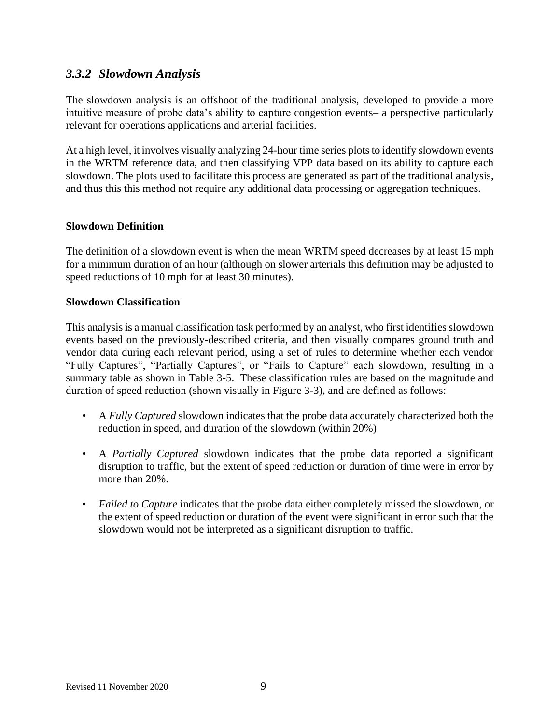## *3.3.2 Slowdown Analysis*

The slowdown analysis is an offshoot of the traditional analysis, developed to provide a more intuitive measure of probe data's ability to capture congestion events– a perspective particularly relevant for operations applications and arterial facilities.

At a high level, it involves visually analyzing 24-hour time series plots to identify slowdown events in the WRTM reference data, and then classifying VPP data based on its ability to capture each slowdown. The plots used to facilitate this process are generated as part of the traditional analysis, and thus this this method not require any additional data processing or aggregation techniques.

### **Slowdown Definition**

The definition of a slowdown event is when the mean WRTM speed decreases by at least 15 mph for a minimum duration of an hour (although on slower arterials this definition may be adjusted to speed reductions of 10 mph for at least 30 minutes).

#### **Slowdown Classification**

This analysis is a manual classification task performed by an analyst, who first identifies slowdown events based on the previously-described criteria, and then visually compares ground truth and vendor data during each relevant period, using a set of rules to determine whether each vendor "Fully Captures", "Partially Captures", or "Fails to Capture" each slowdown, resulting in a summary table as shown in Table 3-5. These classification rules are based on the magnitude and duration of speed reduction (shown visually in Figure 3-3), and are defined as follows:

- A *Fully Captured* slowdown indicates that the probe data accurately characterized both the reduction in speed, and duration of the slowdown (within 20%)
- A *Partially Captured* slowdown indicates that the probe data reported a significant disruption to traffic, but the extent of speed reduction or duration of time were in error by more than 20%.
- *Failed to Capture* indicates that the probe data either completely missed the slowdown, or the extent of speed reduction or duration of the event were significant in error such that the slowdown would not be interpreted as a significant disruption to traffic.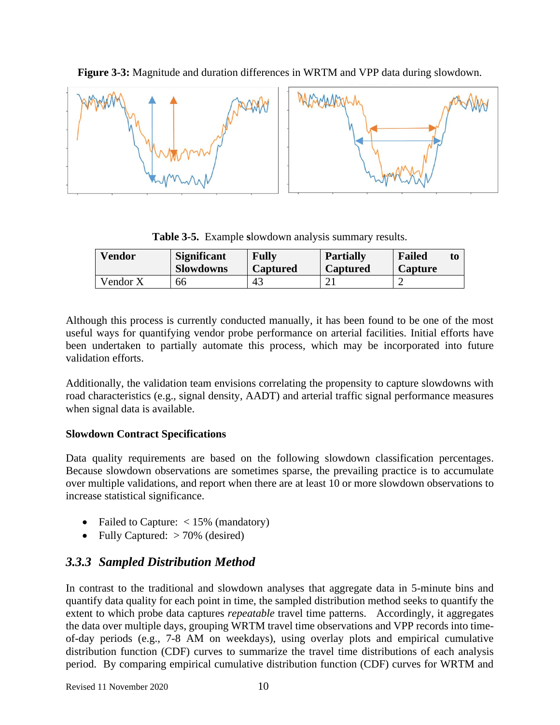

**Figure 3-3:** Magnitude and duration differences in WRTM and VPP data during slowdown.

**Table 3-5.** Example **s**lowdown analysis summary results.

| <b>Vendor</b> | <b>Significant</b><br><b>Slowdowns</b> | <b>Fully</b><br><b>Captured</b> | <b>Partially</b><br><b>Captured</b> | <b>Failed</b><br>Capture | to |
|---------------|----------------------------------------|---------------------------------|-------------------------------------|--------------------------|----|
| Vendor X      | 66                                     | 43                              |                                     |                          |    |

Although this process is currently conducted manually, it has been found to be one of the most useful ways for quantifying vendor probe performance on arterial facilities. Initial efforts have been undertaken to partially automate this process, which may be incorporated into future validation efforts.

Additionally, the validation team envisions correlating the propensity to capture slowdowns with road characteristics (e.g., signal density, AADT) and arterial traffic signal performance measures when signal data is available.

## **Slowdown Contract Specifications**

Data quality requirements are based on the following slowdown classification percentages. Because slowdown observations are sometimes sparse, the prevailing practice is to accumulate over multiple validations, and report when there are at least 10 or more slowdown observations to increase statistical significance.

- Failed to Capture: <15% (mandatory)
- Fully Captured:  $> 70\%$  (desired)

# *3.3.3 Sampled Distribution Method*

In contrast to the traditional and slowdown analyses that aggregate data in 5-minute bins and quantify data quality for each point in time, the sampled distribution method seeks to quantify the extent to which probe data captures *repeatable* travel time patterns. Accordingly, it aggregates the data over multiple days, grouping WRTM travel time observations and VPP records into timeof-day periods (e.g., 7-8 AM on weekdays), using overlay plots and empirical cumulative distribution function (CDF) curves to summarize the travel time distributions of each analysis period. By comparing empirical cumulative distribution function (CDF) curves for WRTM and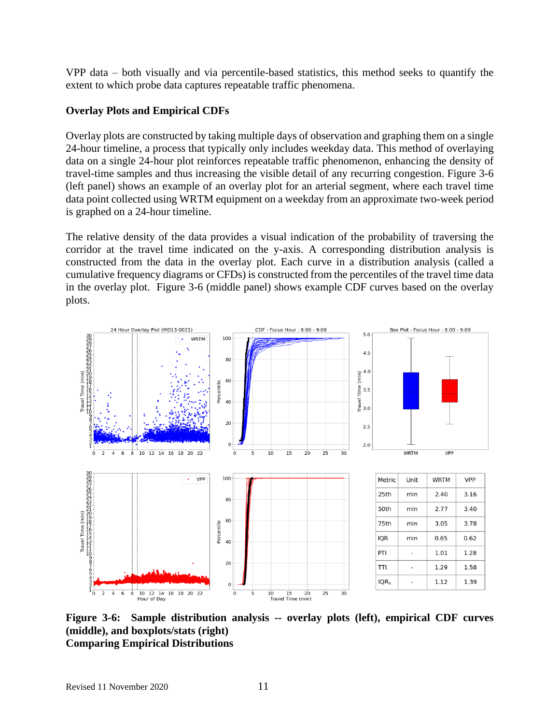VPP data – both visually and via percentile-based statistics, this method seeks to quantify the extent to which probe data captures repeatable traffic phenomena.

## **Overlay Plots and Empirical CDFs**

Overlay plots are constructed by taking multiple days of observation and graphing them on a single 24-hour timeline, a process that typically only includes weekday data. This method of overlaying data on a single 24-hour plot reinforces repeatable traffic phenomenon, enhancing the density of travel-time samples and thus increasing the visible detail of any recurring congestion. Figure 3-6 (left panel) shows an example of an overlay plot for an arterial segment, where each travel time data point collected using WRTM equipment on a weekday from an approximate two-week period is graphed on a 24-hour timeline.

The relative density of the data provides a visual indication of the probability of traversing the corridor at the travel time indicated on the y-axis. A corresponding distribution analysis is constructed from the data in the overlay plot. Each curve in a distribution analysis (called a cumulative frequency diagrams or CFDs) is constructed from the percentiles of the travel time data in the overlay plot. Figure 3-6 (middle panel) shows example CDF curves based on the overlay plots.



**Figure 3-6: Sample distribution analysis -- overlay plots (left), empirical CDF curves (middle), and boxplots/stats (right) Comparing Empirical Distributions**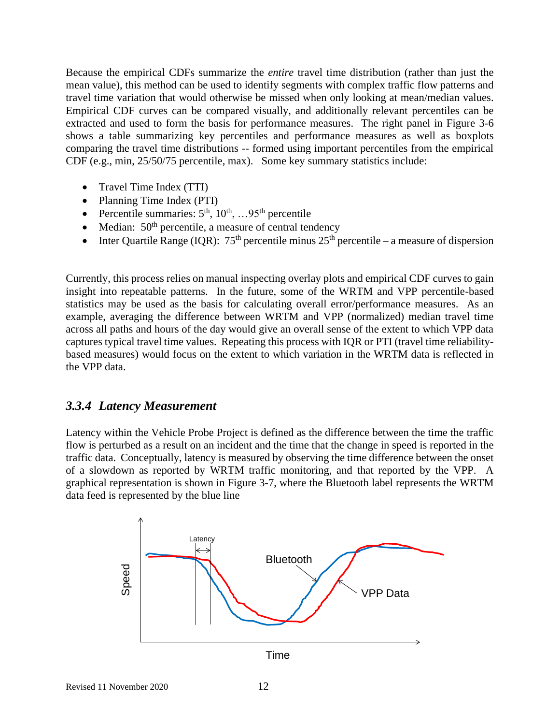Because the empirical CDFs summarize the *entire* travel time distribution (rather than just the mean value), this method can be used to identify segments with complex traffic flow patterns and travel time variation that would otherwise be missed when only looking at mean/median values. Empirical CDF curves can be compared visually, and additionally relevant percentiles can be extracted and used to form the basis for performance measures. The right panel in Figure 3-6 shows a table summarizing key percentiles and performance measures as well as boxplots comparing the travel time distributions -- formed using important percentiles from the empirical CDF (e.g., min, 25/50/75 percentile, max). Some key summary statistics include:

- Travel Time Index (TTI)
- Planning Time Index (PTI)
- Percentile summaries:  $5<sup>th</sup>$ ,  $10<sup>th</sup>$ , ...95<sup>th</sup> percentile
- Median:  $50<sup>th</sup>$  percentile, a measure of central tendency
- Inter Quartile Range (IQR):  $75<sup>th</sup>$  percentile minus  $25<sup>th</sup>$  percentile a measure of dispersion

Currently, this process relies on manual inspecting overlay plots and empirical CDF curves to gain insight into repeatable patterns. In the future, some of the WRTM and VPP percentile-based statistics may be used as the basis for calculating overall error/performance measures. As an example, averaging the difference between WRTM and VPP (normalized) median travel time across all paths and hours of the day would give an overall sense of the extent to which VPP data captures typical travel time values. Repeating this process with IQR or PTI (travel time reliabilitybased measures) would focus on the extent to which variation in the WRTM data is reflected in the VPP data.

## *3.3.4 Latency Measurement*

Latency within the Vehicle Probe Project is defined as the difference between the time the traffic flow is perturbed as a result on an incident and the time that the change in speed is reported in the traffic data. Conceptually, latency is measured by observing the time difference between the onset of a slowdown as reported by WRTM traffic monitoring, and that reported by the VPP. A graphical representation is shown in Figure 3-7, where the Bluetooth label represents the WRTM data feed is represented by the blue line

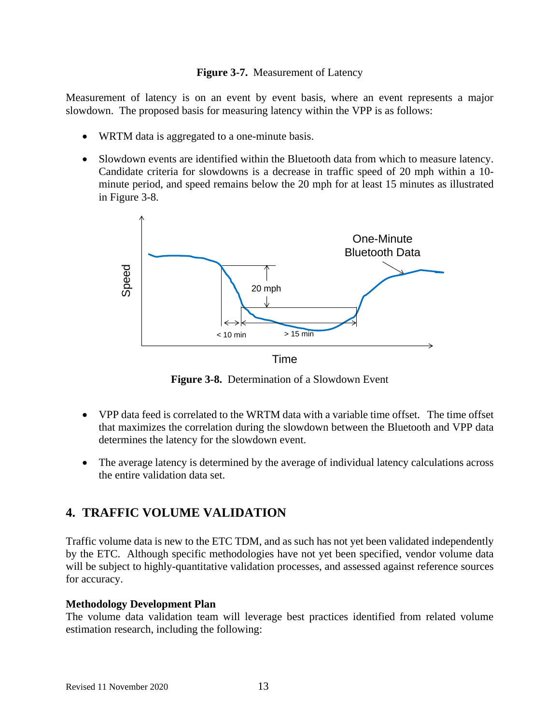## **Figure 3-7.** Measurement of Latency

Measurement of latency is on an event by event basis, where an event represents a major slowdown. The proposed basis for measuring latency within the VPP is as follows:

- WRTM data is aggregated to a one-minute basis.
- Slowdown events are identified within the Bluetooth data from which to measure latency. Candidate criteria for slowdowns is a decrease in traffic speed of 20 mph within a 10 minute period, and speed remains below the 20 mph for at least 15 minutes as illustrated in Figure 3-8.



**Figure 3-8.** Determination of a Slowdown Event

- VPP data feed is correlated to the WRTM data with a variable time offset. The time offset that maximizes the correlation during the slowdown between the Bluetooth and VPP data determines the latency for the slowdown event.
- The average latency is determined by the average of individual latency calculations across the entire validation data set.

# **4. TRAFFIC VOLUME VALIDATION**

Traffic volume data is new to the ETC TDM, and as such has not yet been validated independently by the ETC. Although specific methodologies have not yet been specified, vendor volume data will be subject to highly-quantitative validation processes, and assessed against reference sources for accuracy.

## **Methodology Development Plan**

The volume data validation team will leverage best practices identified from related volume estimation research, including the following: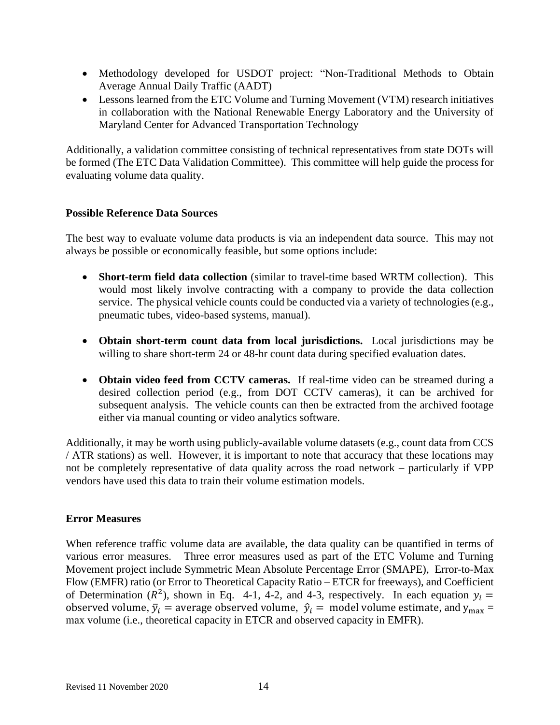- Methodology developed for USDOT project: "Non-Traditional Methods to Obtain Average Annual Daily Traffic (AADT)
- Lessons learned from the ETC Volume and Turning Movement (VTM) research initiatives in collaboration with the National Renewable Energy Laboratory and the University of Maryland Center for Advanced Transportation Technology

Additionally, a validation committee consisting of technical representatives from state DOTs will be formed (The ETC Data Validation Committee). This committee will help guide the process for evaluating volume data quality.

## **Possible Reference Data Sources**

The best way to evaluate volume data products is via an independent data source. This may not always be possible or economically feasible, but some options include:

- **Short-term field data collection** (similar to travel-time based WRTM collection). This would most likely involve contracting with a company to provide the data collection service. The physical vehicle counts could be conducted via a variety of technologies (e.g., pneumatic tubes, video-based systems, manual).
- **Obtain short-term count data from local jurisdictions.** Local jurisdictions may be willing to share short-term 24 or 48-hr count data during specified evaluation dates.
- **Obtain video feed from CCTV cameras.** If real-time video can be streamed during a desired collection period (e.g., from DOT CCTV cameras), it can be archived for subsequent analysis. The vehicle counts can then be extracted from the archived footage either via manual counting or video analytics software.

Additionally, it may be worth using publicly-available volume datasets (e.g., count data from CCS / ATR stations) as well. However, it is important to note that accuracy that these locations may not be completely representative of data quality across the road network – particularly if VPP vendors have used this data to train their volume estimation models.

### **Error Measures**

When reference traffic volume data are available, the data quality can be quantified in terms of various error measures. Three error measures used as part of the ETC Volume and Turning Movement project include Symmetric Mean Absolute Percentage Error (SMAPE), Error-to-Max Flow (EMFR) ratio (or Error to Theoretical Capacity Ratio – ETCR for freeways), and Coefficient of Determination ( $R^2$ ), shown in Eq. 4-1, 4-2, and 4-3, respectively. In each equation  $y_i =$ observed volume,  $\bar{y}_i$  = average observed volume,  $\hat{y}_i$  = model volume estimate, and  $y_{\text{max}}$  = max volume (i.e., theoretical capacity in ETCR and observed capacity in EMFR).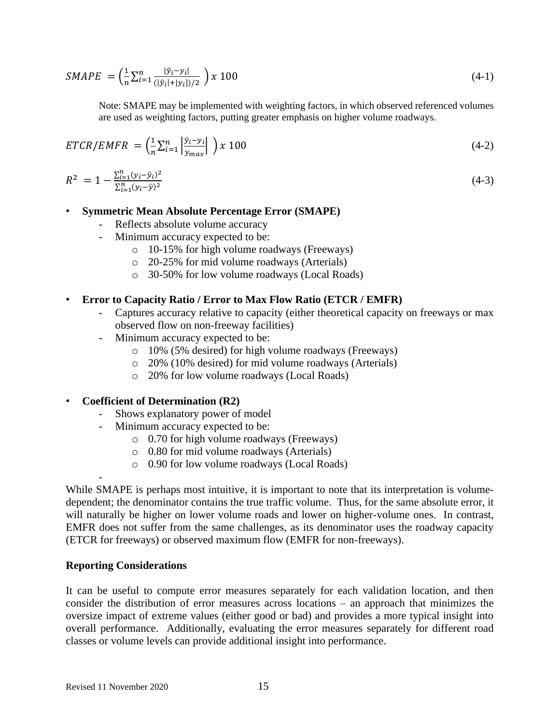$$
SMAPE = \left(\frac{1}{n}\sum_{i=1}^{n} \frac{|\hat{y}_i - y_i|}{(|\hat{y}_i| + |y_i|)/2}\right) x 100
$$
\n(4-1)

Note: SMAPE may be implemented with weighting factors, in which observed referenced volumes are used as weighting factors, putting greater emphasis on higher volume roadways.

$$
ETCR/EMFR = \left(\frac{1}{n}\sum_{i=1}^{n} \left| \frac{\hat{y}_i - y_i}{y_{max}} \right| \right) x 100
$$
\n(4-2)

$$
R^2 = 1 - \frac{\sum_{i=1}^{n} (y_i - \hat{y}_i)^2}{\sum_{i=1}^{n} (y_i - \bar{y})^2}
$$
 (4-3)

#### • **Symmetric Mean Absolute Percentage Error (SMAPE)**

- Reflects absolute volume accuracy
- Minimum accuracy expected to be:
	- o 10-15% for high volume roadways (Freeways)
	- o 20-25% for mid volume roadways (Arterials)
	- o 30-50% for low volume roadways (Local Roads)

### • **Error to Capacity Ratio / Error to Max Flow Ratio (ETCR / EMFR)**

- Captures accuracy relative to capacity (either theoretical capacity on freeways or max observed flow on non-freeway facilities)
- Minimum accuracy expected to be:
	- o 10% (5% desired) for high volume roadways (Freeways)
	- o 20% (10% desired) for mid volume roadways (Arterials)
	- o 20% for low volume roadways (Local Roads)

### • **Coefficient of Determination (R2)**

- Shows explanatory power of model
- Minimum accuracy expected to be:
	- o 0.70 for high volume roadways (Freeways)
	- o 0.80 for mid volume roadways (Arterials)
	- o 0.90 for low volume roadways (Local Roads)

While SMAPE is perhaps most intuitive, it is important to note that its interpretation is volumedependent; the denominator contains the true traffic volume. Thus, for the same absolute error, it will naturally be higher on lower volume roads and lower on higher-volume ones. In contrast, EMFR does not suffer from the same challenges, as its denominator uses the roadway capacity (ETCR for freeways) or observed maximum flow (EMFR for non-freeways).

#### **Reporting Considerations**

-

It can be useful to compute error measures separately for each validation location, and then consider the distribution of error measures across locations – an approach that minimizes the oversize impact of extreme values (either good or bad) and provides a more typical insight into overall performance. Additionally, evaluating the error measures separately for different road classes or volume levels can provide additional insight into performance.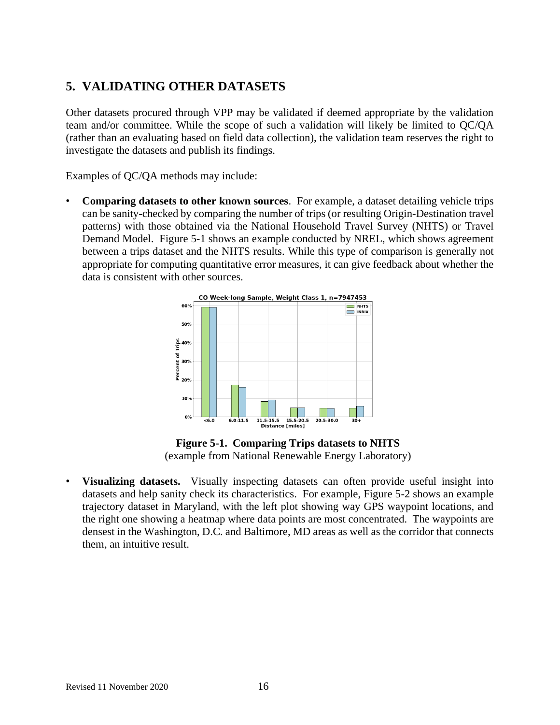# **5. VALIDATING OTHER DATASETS**

Other datasets procured through VPP may be validated if deemed appropriate by the validation team and/or committee. While the scope of such a validation will likely be limited to QC/QA (rather than an evaluating based on field data collection), the validation team reserves the right to investigate the datasets and publish its findings.

Examples of QC/QA methods may include:

• **Comparing datasets to other known sources**. For example, a dataset detailing vehicle trips can be sanity-checked by comparing the number of trips (or resulting Origin-Destination travel patterns) with those obtained via the National Household Travel Survey (NHTS) or Travel Demand Model. Figure 5-1 shows an example conducted by NREL, which shows agreement between a trips dataset and the NHTS results. While this type of comparison is generally not appropriate for computing quantitative error measures, it can give feedback about whether the data is consistent with other sources.



**Figure 5-1. Comparing Trips datasets to NHTS** (example from National Renewable Energy Laboratory)

• **Visualizing datasets.** Visually inspecting datasets can often provide useful insight into datasets and help sanity check its characteristics. For example, Figure 5-2 shows an example trajectory dataset in Maryland, with the left plot showing way GPS waypoint locations, and the right one showing a heatmap where data points are most concentrated. The waypoints are densest in the Washington, D.C. and Baltimore, MD areas as well as the corridor that connects them, an intuitive result.